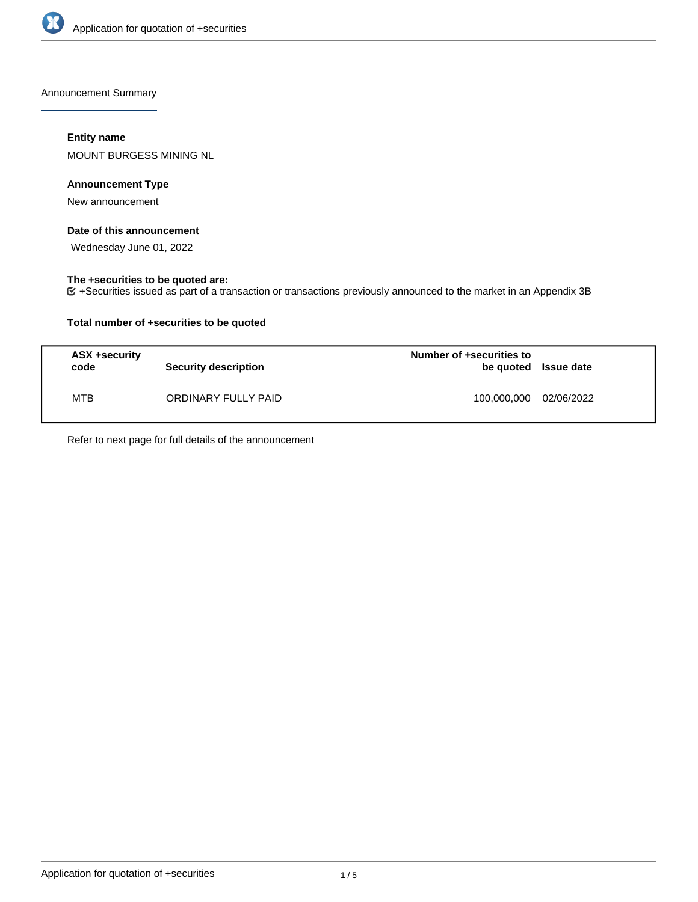

Announcement Summary

## **Entity name**

MOUNT BURGESS MINING NL

### **Announcement Type**

New announcement

## **Date of this announcement**

Wednesday June 01, 2022

#### **The +securities to be quoted are:**

+Securities issued as part of a transaction or transactions previously announced to the market in an Appendix 3B

## **Total number of +securities to be quoted**

| ASX +security<br>code | <b>Security description</b> | Number of +securities to<br>be quoted Issue date |            |
|-----------------------|-----------------------------|--------------------------------------------------|------------|
| MTB                   | ORDINARY FULLY PAID         | 100,000,000                                      | 02/06/2022 |

Refer to next page for full details of the announcement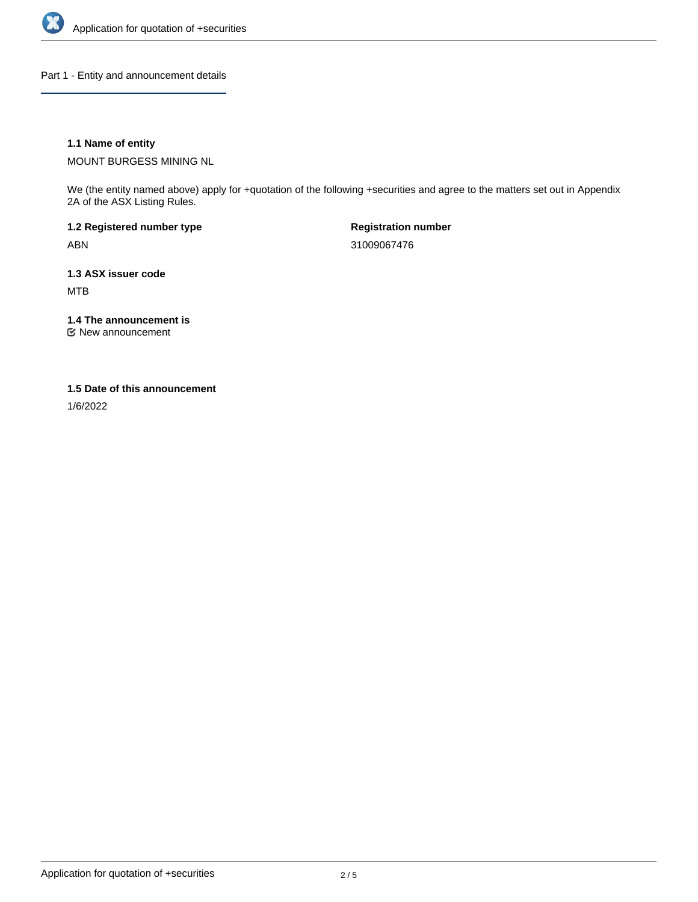

Part 1 - Entity and announcement details

## **1.1 Name of entity**

MOUNT BURGESS MINING NL

We (the entity named above) apply for +quotation of the following +securities and agree to the matters set out in Appendix 2A of the ASX Listing Rules.

**1.2 Registered number type** ABN

**Registration number** 31009067476

**1.3 ASX issuer code** MTB

**1.4 The announcement is**

New announcement

#### **1.5 Date of this announcement**

1/6/2022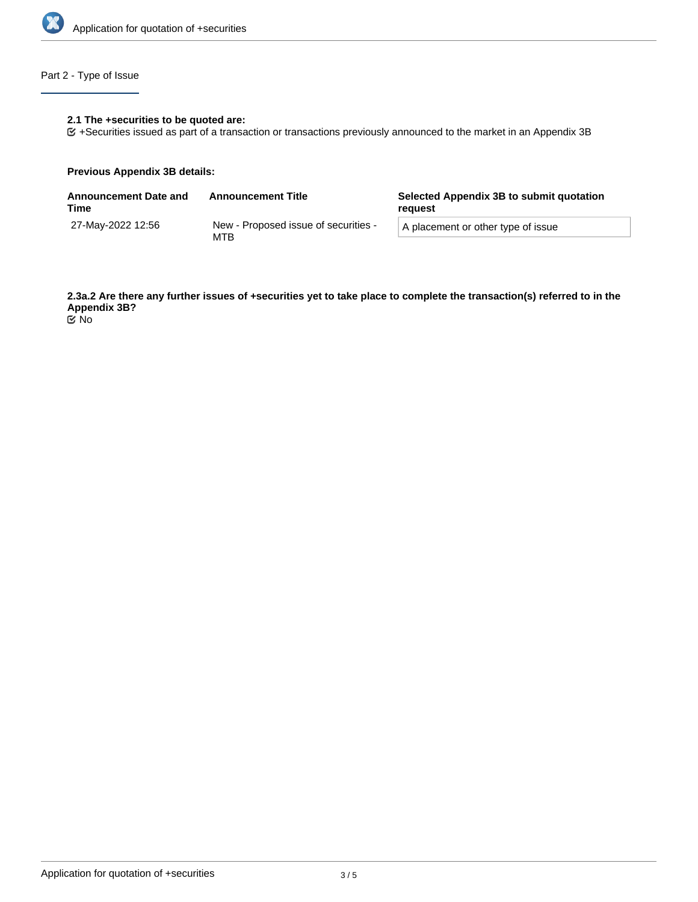

# Part 2 - Type of Issue

## **2.1 The +securities to be quoted are:**

+Securities issued as part of a transaction or transactions previously announced to the market in an Appendix 3B

#### **Previous Appendix 3B details:**

| Announcement Date and<br>Time | <b>Announcement Title</b>                   | Selected Appendix 3B to submit quotation<br>reguest |  |
|-------------------------------|---------------------------------------------|-----------------------------------------------------|--|
| 27-May-2022 12:56             | New - Proposed issue of securities -<br>MTB | A placement or other type of issue                  |  |

**2.3a.2 Are there any further issues of +securities yet to take place to complete the transaction(s) referred to in the Appendix 3B?** No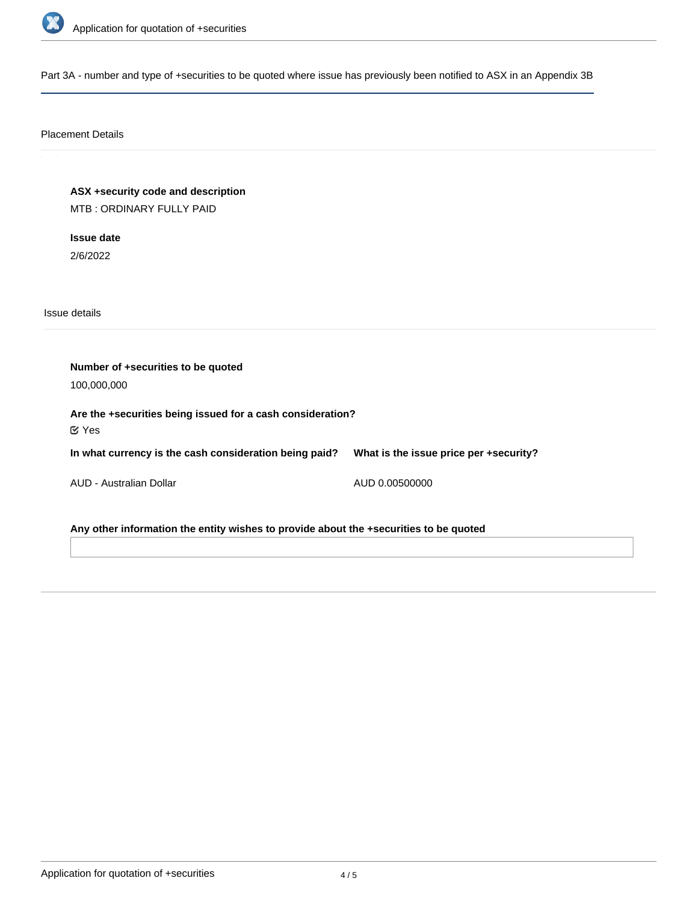

Part 3A - number and type of +securities to be quoted where issue has previously been notified to ASX in an Appendix 3B

# Placement Details

**ASX +security code and description** MTB : ORDINARY FULLY PAID

**Issue date** 2/6/2022

Issue details

**Number of +securities to be quoted** 100,000,000 **Are the +securities being issued for a cash consideration? In what currency is the cash consideration being paid?** AUD - Australian Dollar **What is the issue price per +security?** AUD 0.00500000 Yes

**Any other information the entity wishes to provide about the +securities to be quoted**